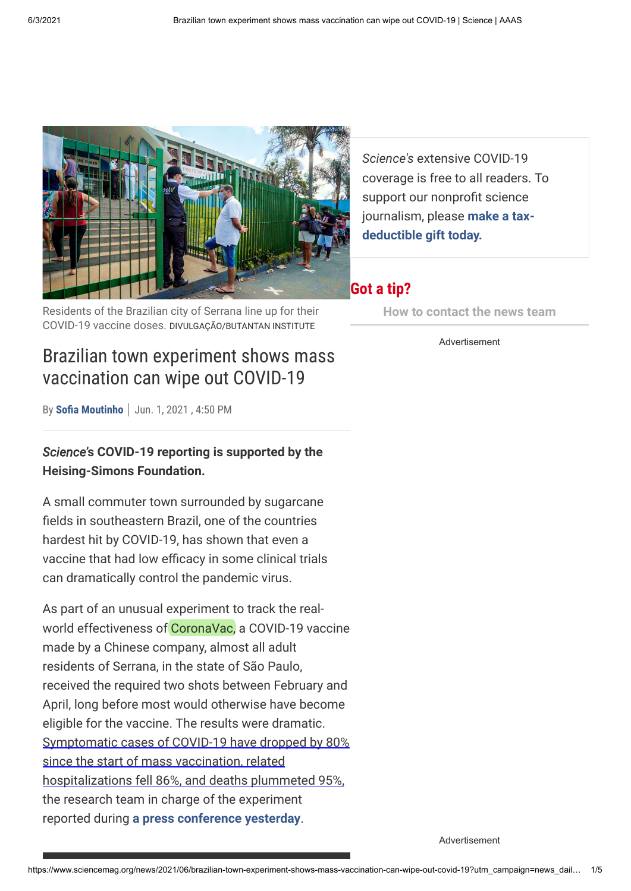

Residents of the Brazilian city of Serrana line up for their COVID-19 vaccine doses. DIVULGAÇÃO/BUTANTAN INSTITUTE

*Science's* extensive COVID-19 coverage is free to all readers. To support our nonprofit science journalism, please **make a taxdeductible gift today.**

### **Got a tip?**

**[How to contact the news team](https://www.sciencemag.org/about/got-tip)**

Advertisement

# Brazilian town experiment shows mass vaccination can wipe out COVID-19

By **[Sofia Moutinho](https://www.sciencemag.org/author/sofia-moutinho)** Jun. 1, 2021 , 4:50 PM

*Science***'s COVID-19 reporting is supported by the Heising-Simons Foundation.**

A small commuter town surrounded by sugarcane fields in southeastern Brazil, one of the countries hardest hit by COVID-19, has shown that even a vaccine that had low efficacy in some clinical trials can dramatically control the pandemic virus.

As part of an unusual experiment to track the realworld effectiveness of CoronaVac, a COVID-19 vaccine made by a Chinese company, almost all adult residents of Serrana, in the state of São Paulo, received the required two shots between February and April, long before most would otherwise have become eligible for the vaccine. The results were dramatic. Symptomatic cases of COVID-19 have dropped by 80% since the start of mass vaccination, related hospitalizations fell 86%, and deaths plummeted 95%, the research team in charge of the experiment reported during **[a press conference yesterday](https://youtu.be/794VCID6Uao)**.

Advertisement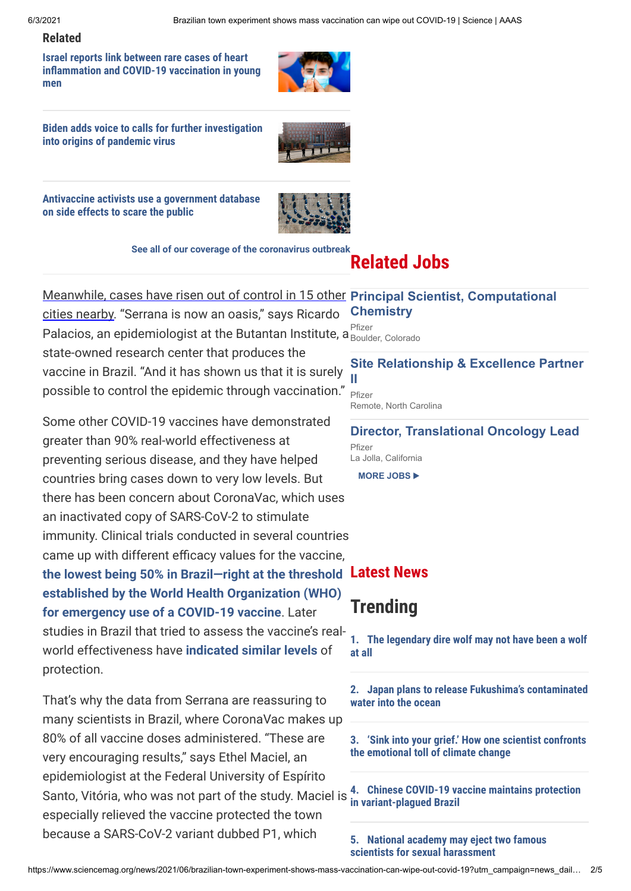#### **Related**

**Israel reports link between rare cases of heart [inflammation and COVID-19 vaccination in young](https://www.sciencemag.org/news/2021/06/israel-reports-link-between-rare-cases-heart-inflammation-and-covid-19-vaccination) men**



**[Biden adds voice to calls for further investigation](https://www.sciencemag.org/news/2021/05/biden-adds-voice-calls-further-investigation-origins-pandemic-virus) into origins of pandemic virus**



**[Antivaccine activists use a government database](https://www.sciencemag.org/news/2021/05/antivaccine-activists-use-government-database-side-effects-scare-public) on side effects to scare the public**



**[See all of our coverage of the coronavirus outbreak](https://www.sciencemag.org/tags/coronavirus)**

# **Related Jobs**

### Meanwhile, cases have risen out of control in 15 other **[Principal Scientist, Computational](https://jobs.sciencecareers.org/job/548747?utm_campaign=Hawkeye+Medicine+71&utm_medium=Widget&utm_source=Hawkeye)**

cities nearby. "Serrana is now an oasis," says Ricardo Palacios, an epidemiologist at the Butantan Institute, a  $_{\rm Bould}^{\rm Pfizer}$ state-owned research center that produces the vaccine in Brazil. "And it has shown us that it is surely

possible to control the epidemic through vaccination."

Some other COVID-19 vaccines have demonstrated greater than 90% real-world effectiveness at preventing serious disease, and they have helped countries bring cases down to very low levels. But there has been concern about CoronaVac, which uses an inactivated copy of SARS-CoV-2 to stimulate immunity. Clinical trials conducted in several countries came up with different efficacy values for the vaccine, **[the lowest being 50% in Brazil—right at the threshold](https://www.sciencemag.org/news/2021/01/third-time-s-charm-brazil-scales-back-efficacy-claims-covid-19-vaccine-china) Latest News established by the World Health Organization (WHO) for emergency use of a COVID-19 vaccine**. Later studies in Brazil that tried to assess the vaccine's realworld effectiveness have **[indicated similar levels](https://www.sciencemag.org/news/2021/04/chinese-covid-19-vaccine-maintains-protection-variant-plagued-brazil)** of protection.

That's why the data from Serrana are reassuring to many scientists in Brazil, where CoronaVac makes up 80% of all vaccine doses administered. "These are very encouraging results," says Ethel Maciel, an epidemiologist at the Federal University of Espírito Santo, Vitória, who was not part of the study. Maciel is especially relieved the vaccine protected the town because a SARS-CoV-2 variant dubbed P1, which

**Chemistry** Boulder, Colorado

### **[Site Relationship & Excellence Partner](https://jobs.sciencecareers.org/job/548839?utm_campaign=Hawkeye+Medicine+71&utm_medium=Widget&utm_source=Hawkeye) II**

Pfizer Remote, North Carolina

**[Director, Translational Oncology Lead](https://jobs.sciencecareers.org/job/548869?utm_campaign=Hawkeye+Medicine+71&utm_medium=Widget&utm_source=Hawkeye)** Pfizer La Jolla, California

**[MORE JOBS](https://jobs.sciencecareers.org/searchjobs/?Keywords=Medicine&NearFacetsShown=true&utm_campaign=Hawkeye+Medicine+71&utm_medium=Widget&utm_source=Hawkeye)** ▶

## **Trending**

**[1. The legendary dire wolf may not have been a wolf](https://www.sciencemag.org/news/2021/01/legendary-dire-wolf-may-not-have-been-wolf-all) at all**

**[2. Japan plans to release Fukushima's contaminated](https://www.sciencemag.org/news/2021/04/japan-plans-release-fukushima-s-contaminated-water-ocean) water into the ocean**

**[3. 'Sink into your grief.' How one scientist confronts](https://www.sciencemag.org/news/2021/04/sink-your-grief-how-one-scientist-confronts-emotional-toll-climate-change) the emotional toll of climate change**

**[4. Chinese COVID-19 vaccine maintains protection](https://www.sciencemag.org/news/2021/04/chinese-covid-19-vaccine-maintains-protection-variant-plagued-brazil) in variant-plagued Brazil**

**[5. National academy may eject two famous](https://www.sciencemag.org/news/2021/04/national-academy-may-eject-two-famous-scientists-sexual-harassment) scientists for sexual harassment**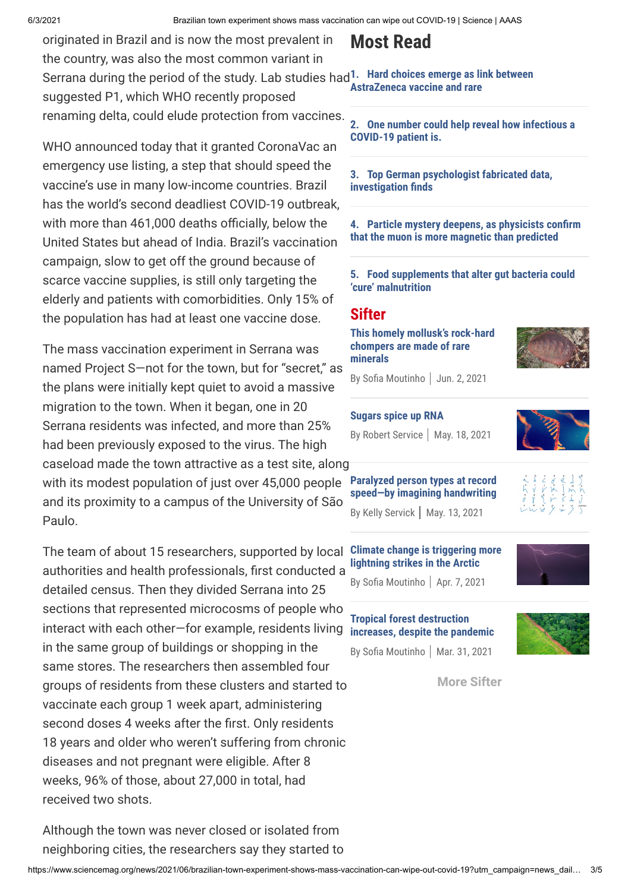originated in Brazil and is now the most prevalent in the country, was also the most common variant in Serrana during the period of the study. Lab studies had **[1. Hard choices emerge as link between](https://www.sciencemag.org/news/2021/04/hard-choices-emerge-link-between-astrazeneca-vaccine-and-rare-clotting-disorder-becomes)** suggested P1, which WHO recently proposed renaming delta, could elude protection from vaccines.

WHO announced today that it granted CoronaVac an emergency use listing, a step that should speed the vaccine's use in many low-income countries. Brazil has the world's second deadliest COVID-19 outbreak, with more than 461,000 deaths officially, below the United States but ahead of India. Brazil's vaccination campaign, slow to get off the ground because of scarce vaccine supplies, is still only targeting the elderly and patients with comorbidities. Only 15% of the population has had at least one vaccine dose.

The mass vaccination experiment in Serrana was named Project S—not for the town, but for "secret," as the plans were initially kept quiet to avoid a massive migration to the town. When it began, one in 20 Serrana residents was infected, and more than 25% had been previously exposed to the virus. The high caseload made the town attractive as a test site, along with its modest population of just over 45,000 people and its proximity to a campus of the University of São Paulo.

The team of about 15 researchers, supported by local authorities and health professionals, first conducted a detailed census. Then they divided Serrana into 25 sections that represented microcosms of people who interact with each other—for example, residents living in the same group of buildings or shopping in the same stores. The researchers then assembled four groups of residents from these clusters and started to vaccinate each group 1 week apart, administering second doses 4 weeks after the first. Only residents 18 years and older who weren't suffering from chronic diseases and not pregnant were eligible. After 8 weeks, 96% of those, about 27,000 in total, had received two shots. **[Climate change is triggering more](https://www.sciencemag.org/news/2021/04/climate-change-triggering-more-lightning-strikes-arctic) lightning strikes in the Arctic**

Although the town was never closed or isolated from neighboring cities, the researchers say they started to

# **Most Read**

**AstraZeneca vaccine and rare**

**[2. One number could help reveal how infectious a](https://www.sciencemag.org/news/2020/09/one-number-could-help-reveal-how-infectious-covid-19-patient-should-test-results) COVID-19 patient is.**

**[3. Top German psychologist fabricated data,](https://www.sciencemag.org/news/2021/04/top-german-psychologist-fabricated-data-investigation-finds) investigation finds**

**[4. Particle mystery deepens, as physicists confirm](https://www.sciencemag.org/news/2021/04/particle-mystery-deepens-physicists-confirm-muon-more-magnetic-predicted) that the muon is more magnetic than predicted**

**[5. Food supplements that alter gut bacteria could](https://www.sciencemag.org/news/2021/04/food-supplements-alter-gut-bacteria-could-cure-malnutrition) 'cure' malnutrition**

### **Sifter**

**[This homely mollusk's rock-hard](https://www.sciencemag.org/news/2021/06/homely-mollusk-s-rock-hard-chompers-are-made-rare-minerals) chompers are made of rare minerals**



By Sofia [Moutinho](https://www.sciencemag.org/author/sofia-moutinho) | Jun. 2, 2021

#### **[Sugars spice up RNA](https://www.sciencemag.org/news/2021/05/sugars-spice-rna)**

By [Robert Service](https://www.sciencemag.org/author/robert-service) | May. 18, 2021



**[Paralyzed person types at record](https://www.sciencemag.org/news/2021/05/paralyzed-person-types-record-speed-imagining-handwriting) speed—by imagining handwriting**

By Kelly [Servick](https://www.sciencemag.org/author/kelly-servick) | May. 13, 2021



By Sofia [Moutinho](https://www.sciencemag.org/author/sofia-moutinho) | Apr. 7, 2021

#### **Tropical forest destruction [increases, despite the pandemic](https://www.sciencemag.org/news/2021/03/tropical-forest-destruction-increases-despite-pandemic)**

By Sofia [Moutinho](https://www.sciencemag.org/author/sofia-moutinho) | Mar. 31, 2021



**[More Sifter](https://www.sciencemag.org/news/sifter)**

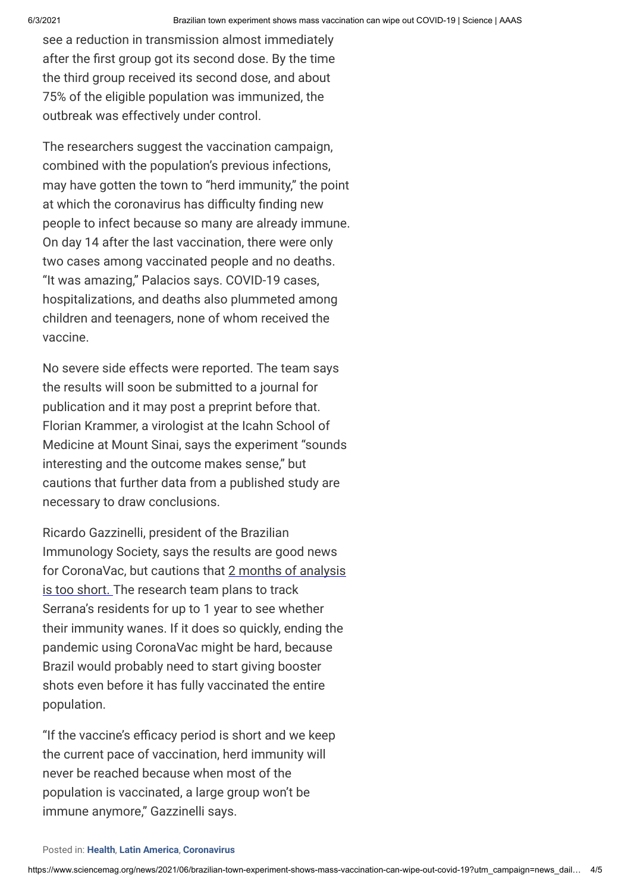see a reduction in transmission almost immediately after the first group got its second dose. By the time the third group received its second dose, and about 75% of the eligible population was immunized, the outbreak was effectively under control.

The researchers suggest the vaccination campaign, combined with the population's previous infections, may have gotten the town to "herd immunity," the point at which the coronavirus has difficulty finding new people to infect because so many are already immune. On day 14 after the last vaccination, there were only two cases among vaccinated people and no deaths. "It was amazing," Palacios says. COVID-19 cases, hospitalizations, and deaths also plummeted among children and teenagers, none of whom received the vaccine.

No severe side effects were reported. The team says the results will soon be submitted to a journal for publication and it may post a preprint before that. Florian Krammer, a virologist at the Icahn School of Medicine at Mount Sinai, says the experiment "sounds interesting and the outcome makes sense," but cautions that further data from a published study are necessary to draw conclusions.

Ricardo Gazzinelli, president of the Brazilian Immunology Society, says the results are good news for CoronaVac, but cautions that 2 months of analysis is too short. The research team plans to track Serrana's residents for up to 1 year to see whether their immunity wanes. If it does so quickly, ending the pandemic using CoronaVac might be hard, because Brazil would probably need to start giving booster shots even before it has fully vaccinated the entire population.

"If the vaccine's efficacy period is short and we keep the current pace of vaccination, herd immunity will never be reached because when most of the population is vaccinated, a large group won't be immune anymore," Gazzinelli says.

#### Posted in: **[Health](https://www.sciencemag.org/category/health)**, **[Latin America](https://www.sciencemag.org/category/latin-america)**, **[Coronavirus](https://www.sciencemag.org/tags/coronavirus)**